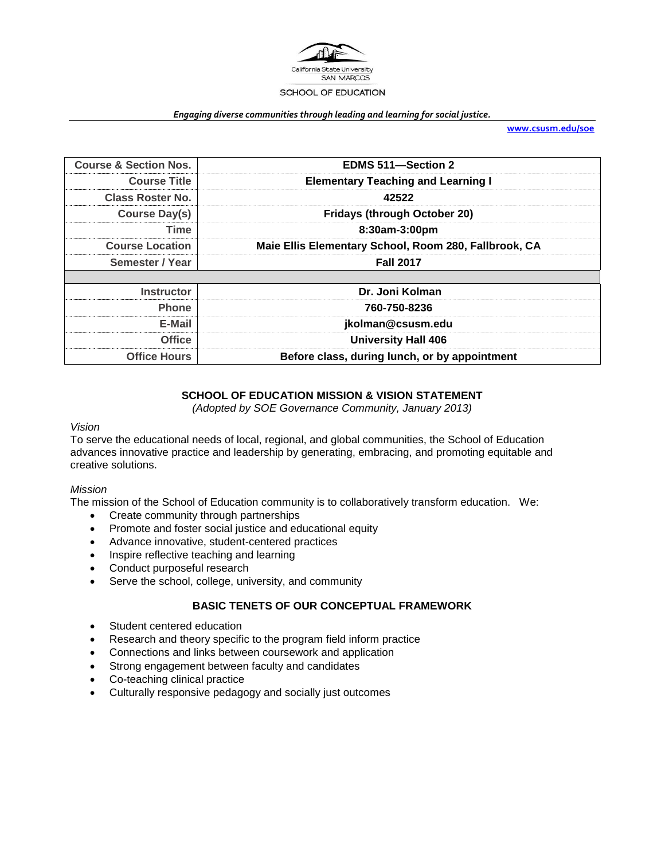

#### *Engaging diverse communities through leading and learning for social justice.*

**[www.csusm.edu/soe](http://www.csusm.edu/soe)**

| <b>Course &amp; Section Nos.</b> | EDMS 511-Section 2                                    |  |
|----------------------------------|-------------------------------------------------------|--|
| <b>Course Title</b>              | <b>Elementary Teaching and Learning I</b>             |  |
| <b>Class Roster No.</b>          | 42522                                                 |  |
| Course Day(s)                    | <b>Fridays (through October 20)</b>                   |  |
| <b>Time</b>                      | 8:30am-3:00pm                                         |  |
| <b>Course Location</b>           | Maie Ellis Elementary School, Room 280, Fallbrook, CA |  |
| Semester / Year                  | <b>Fall 2017</b>                                      |  |
|                                  |                                                       |  |
| <b>Instructor</b>                | Dr. Joni Kolman                                       |  |
| Phone                            | 760-750-8236                                          |  |
| E-Mail                           | jkolman@csusm.edu                                     |  |
| <b>Office</b>                    | <b>University Hall 406</b>                            |  |
| <b>Office Hours</b>              | Before class, during lunch, or by appointment         |  |

# **SCHOOL OF EDUCATION MISSION & VISION STATEMENT**

*(Adopted by SOE Governance Community, January 2013)*

## *Vision*

To serve the educational needs of local, regional, and global communities, the School of Education advances innovative practice and leadership by generating, embracing, and promoting equitable and creative solutions.

## *Mission*

The mission of the School of Education community is to collaboratively transform education. We:

- Create community through partnerships
- Promote and foster social justice and educational equity
- Advance innovative, student-centered practices
- Inspire reflective teaching and learning
- Conduct purposeful research
- Serve the school, college, university, and community

# **BASIC TENETS OF OUR CONCEPTUAL FRAMEWORK**

- Student centered education
- Research and theory specific to the program field inform practice
- Connections and links between coursework and application
- Strong engagement between faculty and candidates
- Co-teaching clinical practice
- Culturally responsive pedagogy and socially just outcomes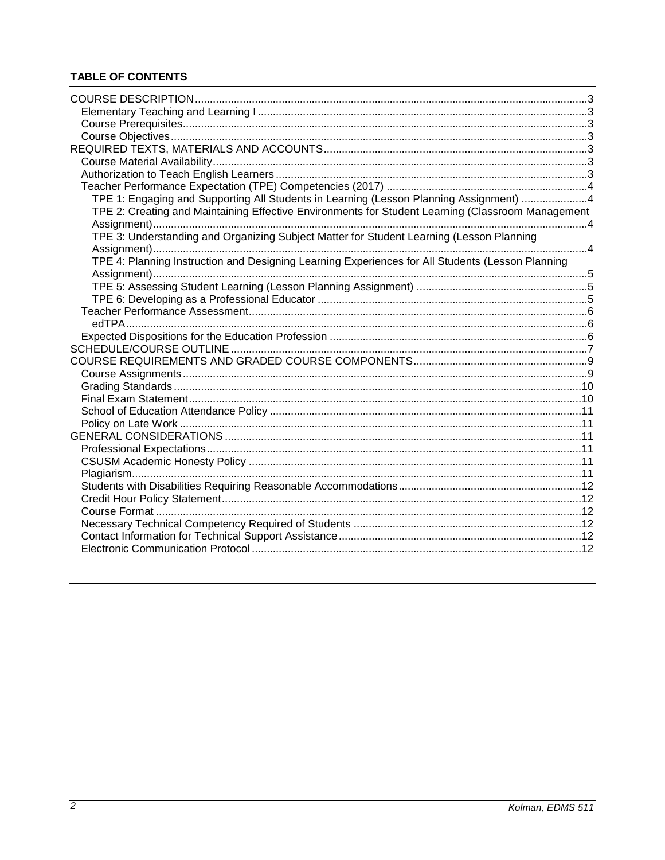# **TABLE OF CONTENTS**

| TPE 1: Engaging and Supporting All Students in Learning (Lesson Planning Assignment) 4            |  |
|---------------------------------------------------------------------------------------------------|--|
| TPE 2: Creating and Maintaining Effective Environments for Student Learning (Classroom Management |  |
|                                                                                                   |  |
| TPE 3: Understanding and Organizing Subject Matter for Student Learning (Lesson Planning          |  |
|                                                                                                   |  |
| TPE 4: Planning Instruction and Designing Learning Experiences for All Students (Lesson Planning  |  |
|                                                                                                   |  |
|                                                                                                   |  |
|                                                                                                   |  |
|                                                                                                   |  |
|                                                                                                   |  |
|                                                                                                   |  |
|                                                                                                   |  |
|                                                                                                   |  |
|                                                                                                   |  |
|                                                                                                   |  |
|                                                                                                   |  |
|                                                                                                   |  |
|                                                                                                   |  |
|                                                                                                   |  |
|                                                                                                   |  |
|                                                                                                   |  |
|                                                                                                   |  |
|                                                                                                   |  |
|                                                                                                   |  |
|                                                                                                   |  |
|                                                                                                   |  |
|                                                                                                   |  |
|                                                                                                   |  |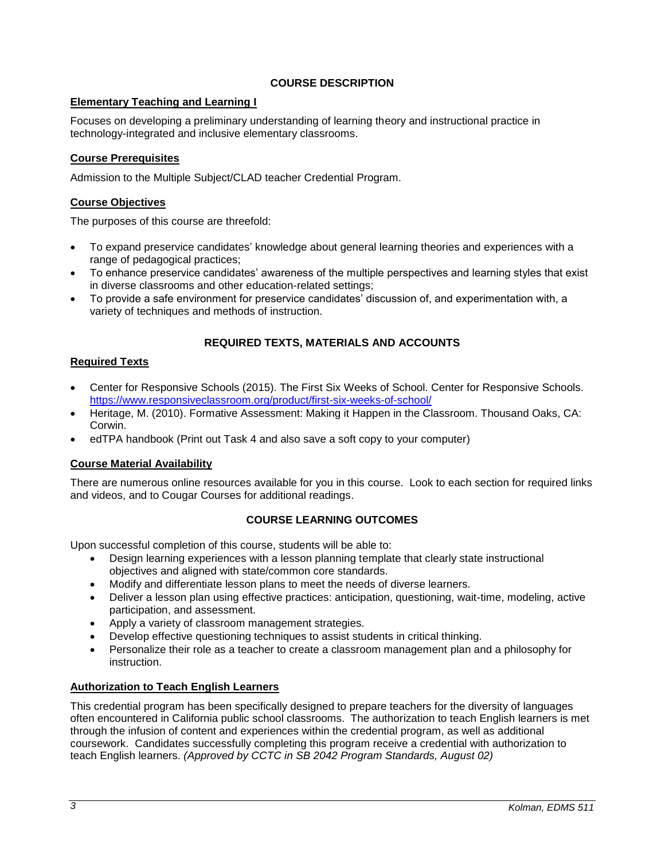# **COURSE DESCRIPTION**

# <span id="page-2-1"></span><span id="page-2-0"></span>**Elementary Teaching and Learning I**

Focuses on developing a preliminary understanding of learning theory and instructional practice in technology-integrated and inclusive elementary classrooms.

# <span id="page-2-2"></span>**Course Prerequisites**

Admission to the Multiple Subject/CLAD teacher Credential Program.

# <span id="page-2-3"></span>**Course Objectives**

The purposes of this course are threefold:

- To expand preservice candidates' knowledge about general learning theories and experiences with a range of pedagogical practices;
- To enhance preservice candidates' awareness of the multiple perspectives and learning styles that exist in diverse classrooms and other education-related settings;
- To provide a safe environment for preservice candidates' discussion of, and experimentation with, a variety of techniques and methods of instruction.

# **REQUIRED TEXTS, MATERIALS AND ACCOUNTS**

# <span id="page-2-4"></span>**Required Texts**

- Center for Responsive Schools (2015). The First Six Weeks of School. Center for Responsive Schools. <https://www.responsiveclassroom.org/product/first-six-weeks-of-school/>
- Heritage, M. (2010). Formative Assessment: Making it Happen in the Classroom. Thousand Oaks, CA: Corwin.
- edTPA handbook (Print out Task 4 and also save a soft copy to your computer)

# <span id="page-2-5"></span>**Course Material Availability**

There are numerous online resources available for you in this course. Look to each section for required links and videos, and to Cougar Courses for additional readings.

# **COURSE LEARNING OUTCOMES**

Upon successful completion of this course, students will be able to:

- Design learning experiences with a lesson planning template that clearly state instructional objectives and aligned with state/common core standards.
- Modify and differentiate lesson plans to meet the needs of diverse learners.
- Deliver a lesson plan using effective practices: anticipation, questioning, wait-time, modeling, active participation, and assessment.
- Apply a variety of classroom management strategies.
- Develop effective questioning techniques to assist students in critical thinking.
- Personalize their role as a teacher to create a classroom management plan and a philosophy for instruction.

# <span id="page-2-6"></span>**Authorization to Teach English Learners**

This credential program has been specifically designed to prepare teachers for the diversity of languages often encountered in California public school classrooms. The authorization to teach English learners is met through the infusion of content and experiences within the credential program, as well as additional coursework. Candidates successfully completing this program receive a credential with authorization to teach English learners. *(Approved by CCTC in SB 2042 Program Standards, August 02)*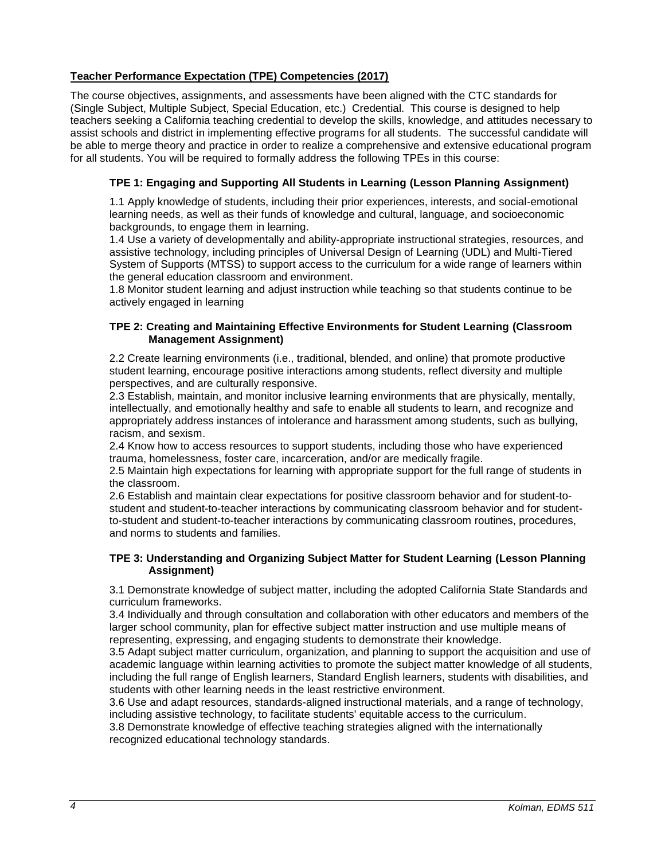# <span id="page-3-0"></span>**Teacher Performance Expectation (TPE) Competencies (2017)**

The course objectives, assignments, and assessments have been aligned with the CTC standards for (Single Subject, Multiple Subject, Special Education, etc.) Credential. This course is designed to help teachers seeking a California teaching credential to develop the skills, knowledge, and attitudes necessary to assist schools and district in implementing effective programs for all students. The successful candidate will be able to merge theory and practice in order to realize a comprehensive and extensive educational program for all students. You will be required to formally address the following TPEs in this course:

# <span id="page-3-1"></span>**TPE 1: Engaging and Supporting All Students in Learning (Lesson Planning Assignment)**

1.1 Apply knowledge of students, including their prior experiences, interests, and social-emotional learning needs, as well as their funds of knowledge and cultural, language, and socioeconomic backgrounds, to engage them in learning.

1.4 Use a variety of developmentally and ability-appropriate instructional strategies, resources, and assistive technology, including principles of Universal Design of Learning (UDL) and Multi-Tiered System of Supports (MTSS) to support access to the curriculum for a wide range of learners within the general education classroom and environment.

1.8 Monitor student learning and adjust instruction while teaching so that students continue to be actively engaged in learning

## <span id="page-3-2"></span>**TPE 2: Creating and Maintaining Effective Environments for Student Learning (Classroom Management Assignment)**

2.2 Create learning environments (i.e., traditional, blended, and online) that promote productive student learning, encourage positive interactions among students, reflect diversity and multiple perspectives, and are culturally responsive.

2.3 Establish, maintain, and monitor inclusive learning environments that are physically, mentally, intellectually, and emotionally healthy and safe to enable all students to learn, and recognize and appropriately address instances of intolerance and harassment among students, such as bullying, racism, and sexism.

2.4 Know how to access resources to support students, including those who have experienced trauma, homelessness, foster care, incarceration, and/or are medically fragile.

2.5 Maintain high expectations for learning with appropriate support for the full range of students in the classroom.

2.6 Establish and maintain clear expectations for positive classroom behavior and for student-tostudent and student-to-teacher interactions by communicating classroom behavior and for studentto-student and student-to-teacher interactions by communicating classroom routines, procedures, and norms to students and families.

## <span id="page-3-3"></span>**TPE 3: Understanding and Organizing Subject Matter for Student Learning (Lesson Planning Assignment)**

3.1 Demonstrate knowledge of subject matter, including the adopted California State Standards and curriculum frameworks.

3.4 Individually and through consultation and collaboration with other educators and members of the larger school community, plan for effective subject matter instruction and use multiple means of representing, expressing, and engaging students to demonstrate their knowledge.

3.5 Adapt subject matter curriculum, organization, and planning to support the acquisition and use of academic language within learning activities to promote the subject matter knowledge of all students, including the full range of English learners, Standard English learners, students with disabilities, and students with other learning needs in the least restrictive environment.

3.6 Use and adapt resources, standards-aligned instructional materials, and a range of technology, including assistive technology, to facilitate students' equitable access to the curriculum.

3.8 Demonstrate knowledge of effective teaching strategies aligned with the internationally recognized educational technology standards.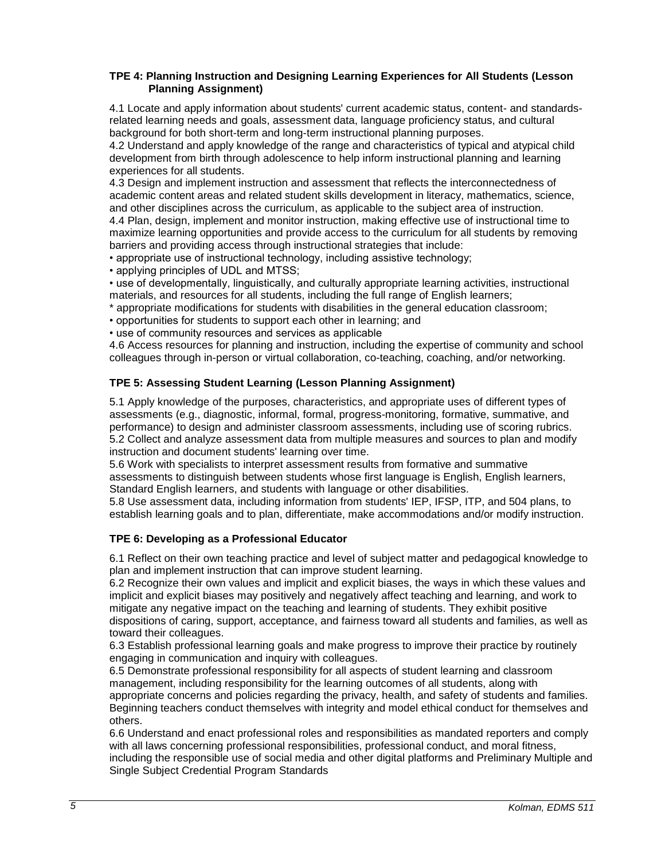## <span id="page-4-0"></span>**TPE 4: Planning Instruction and Designing Learning Experiences for All Students (Lesson Planning Assignment)**

4.1 Locate and apply information about students' current academic status, content- and standardsrelated learning needs and goals, assessment data, language proficiency status, and cultural background for both short-term and long-term instructional planning purposes.

4.2 Understand and apply knowledge of the range and characteristics of typical and atypical child development from birth through adolescence to help inform instructional planning and learning experiences for all students.

4.3 Design and implement instruction and assessment that reflects the interconnectedness of academic content areas and related student skills development in literacy, mathematics, science, and other disciplines across the curriculum, as applicable to the subject area of instruction.

4.4 Plan, design, implement and monitor instruction, making effective use of instructional time to maximize learning opportunities and provide access to the curriculum for all students by removing barriers and providing access through instructional strategies that include:

• appropriate use of instructional technology, including assistive technology;

• applying principles of UDL and MTSS;

• use of developmentally, linguistically, and culturally appropriate learning activities, instructional materials, and resources for all students, including the full range of English learners;

- \* appropriate modifications for students with disabilities in the general education classroom;
- opportunities for students to support each other in learning; and
- use of community resources and services as applicable

4.6 Access resources for planning and instruction, including the expertise of community and school colleagues through in-person or virtual collaboration, co-teaching, coaching, and/or networking.

# <span id="page-4-1"></span>**TPE 5: Assessing Student Learning (Lesson Planning Assignment)**

5.1 Apply knowledge of the purposes, characteristics, and appropriate uses of different types of assessments (e.g., diagnostic, informal, formal, progress-monitoring, formative, summative, and performance) to design and administer classroom assessments, including use of scoring rubrics. 5.2 Collect and analyze assessment data from multiple measures and sources to plan and modify instruction and document students' learning over time.

5.6 Work with specialists to interpret assessment results from formative and summative assessments to distinguish between students whose first language is English, English learners, Standard English learners, and students with language or other disabilities.

5.8 Use assessment data, including information from students' IEP, IFSP, ITP, and 504 plans, to establish learning goals and to plan, differentiate, make accommodations and/or modify instruction.

# <span id="page-4-2"></span>**TPE 6: Developing as a Professional Educator**

6.1 Reflect on their own teaching practice and level of subject matter and pedagogical knowledge to plan and implement instruction that can improve student learning.

6.2 Recognize their own values and implicit and explicit biases, the ways in which these values and implicit and explicit biases may positively and negatively affect teaching and learning, and work to mitigate any negative impact on the teaching and learning of students. They exhibit positive dispositions of caring, support, acceptance, and fairness toward all students and families, as well as toward their colleagues.

6.3 Establish professional learning goals and make progress to improve their practice by routinely engaging in communication and inquiry with colleagues.

6.5 Demonstrate professional responsibility for all aspects of student learning and classroom management, including responsibility for the learning outcomes of all students, along with appropriate concerns and policies regarding the privacy, health, and safety of students and families. Beginning teachers conduct themselves with integrity and model ethical conduct for themselves and others.

6.6 Understand and enact professional roles and responsibilities as mandated reporters and comply with all laws concerning professional responsibilities, professional conduct, and moral fitness, including the responsible use of social media and other digital platforms and Preliminary Multiple and Single Subject Credential Program Standards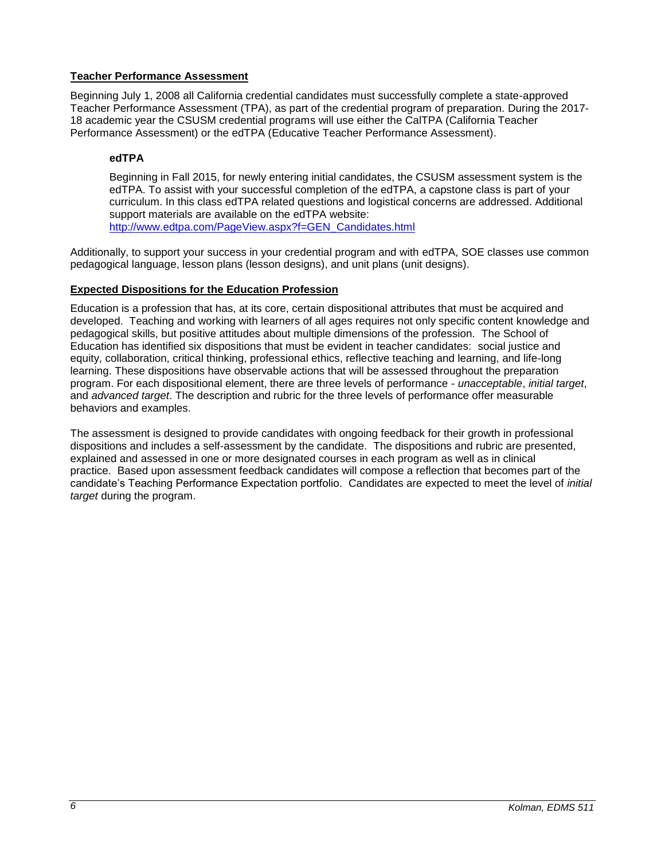# <span id="page-5-0"></span>**Teacher Performance Assessment**

Beginning July 1, 2008 all California credential candidates must successfully complete a state-approved Teacher Performance Assessment (TPA), as part of the credential program of preparation. During the 2017- 18 academic year the CSUSM credential programs will use either the CalTPA (California Teacher Performance Assessment) or the edTPA (Educative Teacher Performance Assessment).

# <span id="page-5-1"></span>**edTPA**

Beginning in Fall 2015, for newly entering initial candidates, the CSUSM assessment system is the edTPA. To assist with your successful completion of the edTPA, a capstone class is part of your curriculum. In this class edTPA related questions and logistical concerns are addressed. Additional support materials are available on the edTPA website: [http://www.edtpa.com/PageView.aspx?f=GEN\\_Candidates.html](http://www.edtpa.com/PageView.aspx?f=GEN_Candidates.html)

Additionally, to support your success in your credential program and with edTPA, SOE classes use common pedagogical language, lesson plans (lesson designs), and unit plans (unit designs).

# <span id="page-5-2"></span>**Expected Dispositions for the Education Profession**

Education is a profession that has, at its core, certain dispositional attributes that must be acquired and developed. Teaching and working with learners of all ages requires not only specific content knowledge and pedagogical skills, but positive attitudes about multiple dimensions of the profession. The School of Education has identified six dispositions that must be evident in teacher candidates: social justice and equity, collaboration, critical thinking, professional ethics, reflective teaching and learning, and life-long learning. These dispositions have observable actions that will be assessed throughout the preparation program. For each dispositional element, there are three levels of performance - *unacceptable*, *initial target*, and *advanced target*. The description and rubric for the three levels of performance offer measurable behaviors and examples.

The assessment is designed to provide candidates with ongoing feedback for their growth in professional dispositions and includes a self-assessment by the candidate. The dispositions and rubric are presented, explained and assessed in one or more designated courses in each program as well as in clinical practice. Based upon assessment feedback candidates will compose a reflection that becomes part of the candidate's Teaching Performance Expectation portfolio. Candidates are expected to meet the level of *initial target* during the program.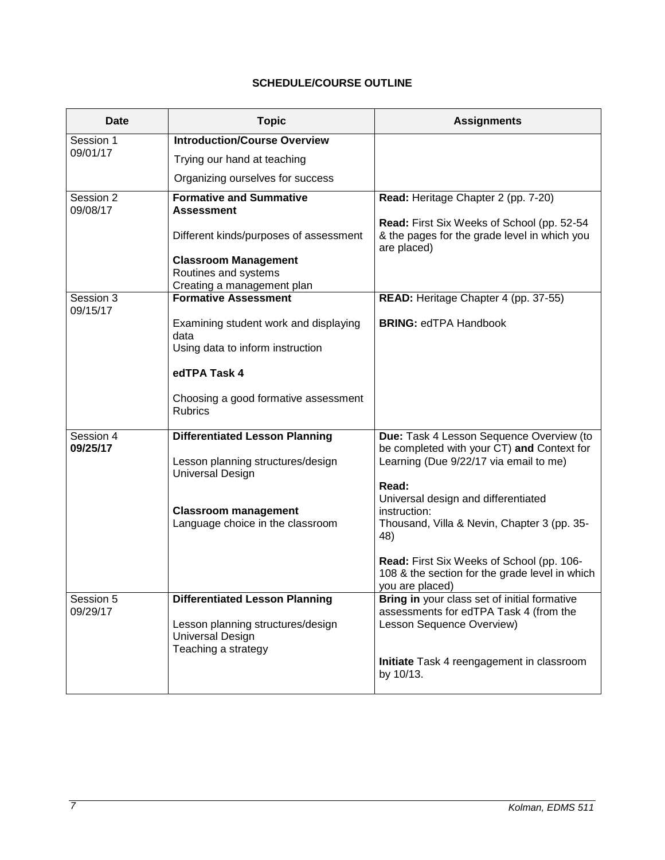# **SCHEDULE/COURSE OUTLINE**

<span id="page-6-0"></span>

| Date      | <b>Topic</b>                                                    | <b>Assignments</b>                                              |
|-----------|-----------------------------------------------------------------|-----------------------------------------------------------------|
| Session 1 | <b>Introduction/Course Overview</b>                             |                                                                 |
| 09/01/17  | Trying our hand at teaching                                     |                                                                 |
|           | Organizing ourselves for success                                |                                                                 |
| Session 2 | <b>Formative and Summative</b>                                  | Read: Heritage Chapter 2 (pp. 7-20)                             |
| 09/08/17  | <b>Assessment</b>                                               | Read: First Six Weeks of School (pp. 52-54                      |
|           | Different kinds/purposes of assessment                          | & the pages for the grade level in which you<br>are placed)     |
|           | <b>Classroom Management</b>                                     |                                                                 |
|           | Routines and systems                                            |                                                                 |
| Session 3 | Creating a management plan<br><b>Formative Assessment</b>       | READ: Heritage Chapter 4 (pp. 37-55)                            |
| 09/15/17  |                                                                 |                                                                 |
|           | Examining student work and displaying<br>data                   | <b>BRING: edTPA Handbook</b>                                    |
|           | Using data to inform instruction                                |                                                                 |
|           | edTPA Task 4                                                    |                                                                 |
|           | Choosing a good formative assessment<br><b>Rubrics</b>          |                                                                 |
| Session 4 | <b>Differentiated Lesson Planning</b>                           | Due: Task 4 Lesson Sequence Overview (to                        |
| 09/25/17  |                                                                 | be completed with your CT) and Context for                      |
|           | Lesson planning structures/design<br><b>Universal Design</b>    | Learning (Due 9/22/17 via email to me)                          |
|           |                                                                 | Read:                                                           |
|           |                                                                 | Universal design and differentiated                             |
|           | <b>Classroom management</b><br>Language choice in the classroom | instruction:<br>Thousand, Villa & Nevin, Chapter 3 (pp. 35-     |
|           |                                                                 | 48)                                                             |
|           |                                                                 | Read: First Six Weeks of School (pp. 106-                       |
|           |                                                                 | 108 & the section for the grade level in which                  |
| Session 5 | <b>Differentiated Lesson Planning</b>                           | you are placed)<br>Bring in your class set of initial formative |
| 09/29/17  |                                                                 | assessments for edTPA Task 4 (from the                          |
|           | Lesson planning structures/design                               | Lesson Sequence Overview)                                       |
|           | <b>Universal Design</b>                                         |                                                                 |
|           | Teaching a strategy                                             | Initiate Task 4 reengagement in classroom                       |
|           |                                                                 | by 10/13.                                                       |
|           |                                                                 |                                                                 |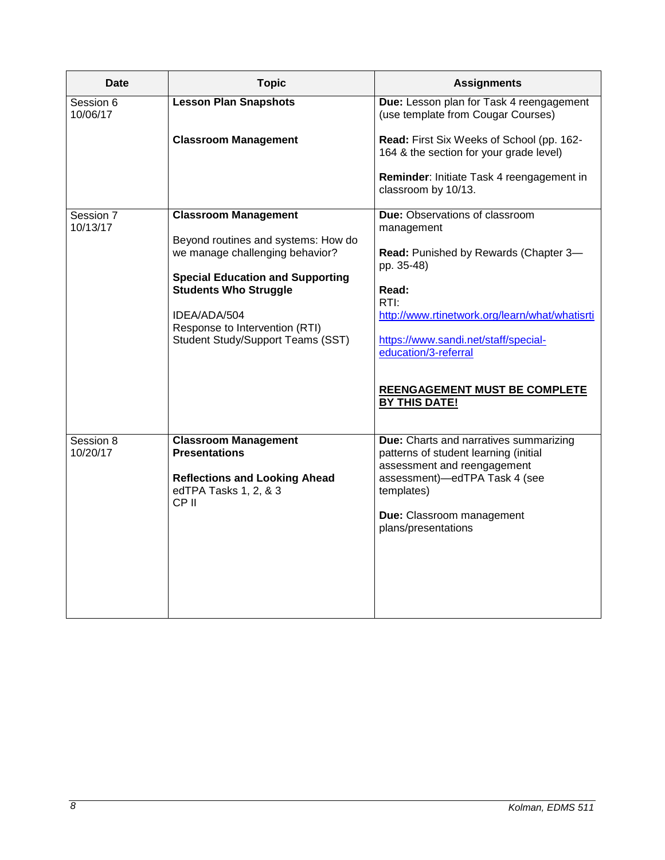| Date                  | <b>Topic</b>                                                                               | <b>Assignments</b>                                                                                                    |
|-----------------------|--------------------------------------------------------------------------------------------|-----------------------------------------------------------------------------------------------------------------------|
| Session 6<br>10/06/17 | <b>Lesson Plan Snapshots</b>                                                               | Due: Lesson plan for Task 4 reengagement<br>(use template from Cougar Courses)                                        |
|                       | <b>Classroom Management</b>                                                                | Read: First Six Weeks of School (pp. 162-<br>164 & the section for your grade level)                                  |
|                       |                                                                                            | Reminder: Initiate Task 4 reengagement in<br>classroom by 10/13.                                                      |
| Session 7<br>10/13/17 | <b>Classroom Management</b>                                                                | Due: Observations of classroom<br>management                                                                          |
|                       | Beyond routines and systems: How do<br>we manage challenging behavior?                     | Read: Punished by Rewards (Chapter 3-<br>pp. 35-48)                                                                   |
|                       | <b>Special Education and Supporting</b><br><b>Students Who Struggle</b>                    | Read:<br>RTI:                                                                                                         |
|                       | IDEA/ADA/504<br>Response to Intervention (RTI)<br><b>Student Study/Support Teams (SST)</b> | http://www.rtinetwork.org/learn/what/whatisrti<br>https://www.sandi.net/staff/special-                                |
|                       |                                                                                            | education/3-referral                                                                                                  |
|                       |                                                                                            | <b>REENGAGEMENT MUST BE COMPLETE</b><br><b>BY THIS DATE!</b>                                                          |
| Session 8<br>10/20/17 | <b>Classroom Management</b><br><b>Presentations</b>                                        | <b>Due:</b> Charts and narratives summarizing<br>patterns of student learning (initial<br>assessment and reengagement |
|                       | <b>Reflections and Looking Ahead</b><br>edTPA Tasks 1, 2, & 3<br>CP <sub>II</sub>          | assessment)-edTPA Task 4 (see<br>templates)                                                                           |
|                       |                                                                                            | Due: Classroom management<br>plans/presentations                                                                      |
|                       |                                                                                            |                                                                                                                       |
|                       |                                                                                            |                                                                                                                       |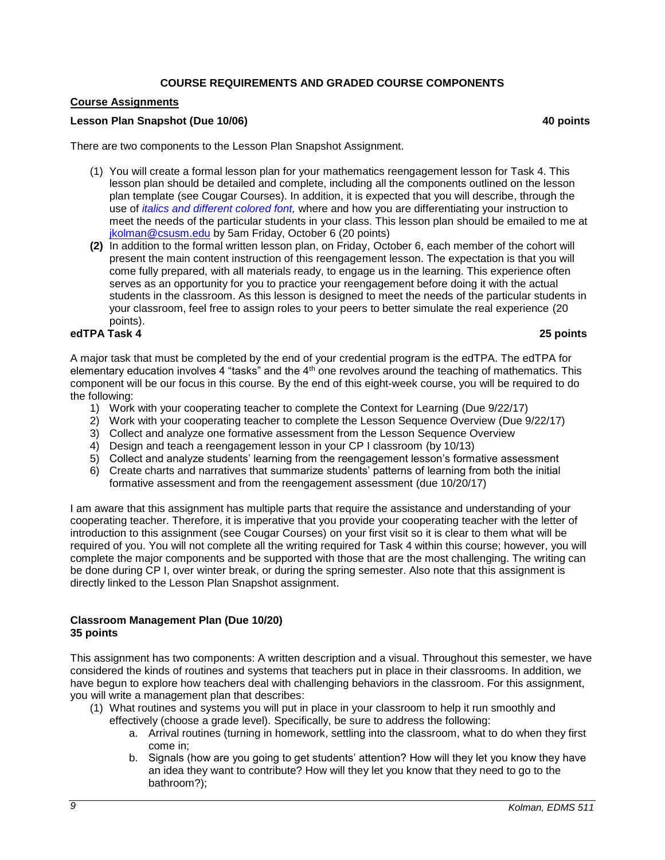# **COURSE REQUIREMENTS AND GRADED COURSE COMPONENTS**

## <span id="page-8-1"></span><span id="page-8-0"></span>**Course Assignments**

## **Lesson Plan Snapshot (Due 10/06) 40 points**

There are two components to the Lesson Plan Snapshot Assignment.

- (1) You will create a formal lesson plan for your mathematics reengagement lesson for Task 4. This lesson plan should be detailed and complete, including all the components outlined on the lesson plan template (see Cougar Courses). In addition, it is expected that you will describe, through the use of *italics and different colored font,* where and how you are differentiating your instruction to meet the needs of the particular students in your class. This lesson plan should be emailed to me at [jkolman@csusm.edu](mailto:jkolman@csusm.edu) by 5am Friday, October 6 (20 points)
- **(2)** In addition to the formal written lesson plan, on Friday, October 6, each member of the cohort will present the main content instruction of this reengagement lesson. The expectation is that you will come fully prepared, with all materials ready, to engage us in the learning. This experience often serves as an opportunity for you to practice your reengagement before doing it with the actual students in the classroom. As this lesson is designed to meet the needs of the particular students in your classroom, feel free to assign roles to your peers to better simulate the real experience (20 points).

## **edTPA Task 4 25 points**

A major task that must be completed by the end of your credential program is the edTPA. The edTPA for elementary education involves 4 "tasks" and the 4<sup>th</sup> one revolves around the teaching of mathematics. This component will be our focus in this course. By the end of this eight-week course, you will be required to do the following:

- 1) Work with your cooperating teacher to complete the Context for Learning (Due 9/22/17)
- 2) Work with your cooperating teacher to complete the Lesson Sequence Overview (Due 9/22/17)
- 3) Collect and analyze one formative assessment from the Lesson Sequence Overview
- 4) Design and teach a reengagement lesson in your CP I classroom (by 10/13)
- 5) Collect and analyze students' learning from the reengagement lesson's formative assessment
- 6) Create charts and narratives that summarize students' patterns of learning from both the initial formative assessment and from the reengagement assessment (due 10/20/17)

I am aware that this assignment has multiple parts that require the assistance and understanding of your cooperating teacher. Therefore, it is imperative that you provide your cooperating teacher with the letter of introduction to this assignment (see Cougar Courses) on your first visit so it is clear to them what will be required of you. You will not complete all the writing required for Task 4 within this course; however, you will complete the major components and be supported with those that are the most challenging. The writing can be done during CP I, over winter break, or during the spring semester. Also note that this assignment is directly linked to the Lesson Plan Snapshot assignment.

## **Classroom Management Plan (Due 10/20) 35 points**

This assignment has two components: A written description and a visual. Throughout this semester, we have considered the kinds of routines and systems that teachers put in place in their classrooms. In addition, we have begun to explore how teachers deal with challenging behaviors in the classroom. For this assignment, you will write a management plan that describes:

- (1) What routines and systems you will put in place in your classroom to help it run smoothly and effectively (choose a grade level). Specifically, be sure to address the following:
	- a. Arrival routines (turning in homework, settling into the classroom, what to do when they first come in;
	- b. Signals (how are you going to get students' attention? How will they let you know they have an idea they want to contribute? How will they let you know that they need to go to the bathroom?);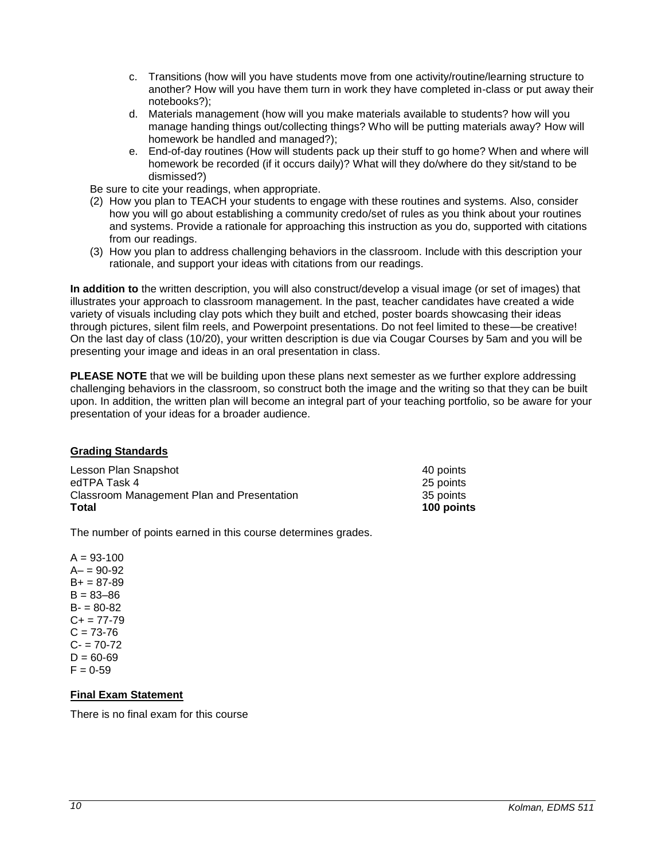- c. Transitions (how will you have students move from one activity/routine/learning structure to another? How will you have them turn in work they have completed in-class or put away their notebooks?);
- d. Materials management (how will you make materials available to students? how will you manage handing things out/collecting things? Who will be putting materials away? How will homework be handled and managed?);
- e. End-of-day routines (How will students pack up their stuff to go home? When and where will homework be recorded (if it occurs daily)? What will they do/where do they sit/stand to be dismissed?)

Be sure to cite your readings, when appropriate.

- (2) How you plan to TEACH your students to engage with these routines and systems. Also, consider how you will go about establishing a community credo/set of rules as you think about your routines and systems. Provide a rationale for approaching this instruction as you do, supported with citations from our readings.
- (3) How you plan to address challenging behaviors in the classroom. Include with this description your rationale, and support your ideas with citations from our readings.

**In addition to** the written description, you will also construct/develop a visual image (or set of images) that illustrates your approach to classroom management. In the past, teacher candidates have created a wide variety of visuals including clay pots which they built and etched, poster boards showcasing their ideas through pictures, silent film reels, and Powerpoint presentations. Do not feel limited to these—be creative! On the last day of class (10/20), your written description is due via Cougar Courses by 5am and you will be presenting your image and ideas in an oral presentation in class.

**PLEASE NOTE** that we will be building upon these plans next semester as we further explore addressing challenging behaviors in the classroom, so construct both the image and the writing so that they can be built upon. In addition, the written plan will become an integral part of your teaching portfolio, so be aware for your presentation of your ideas for a broader audience.

# <span id="page-9-0"></span>**Grading Standards**

| Lesson Plan Snapshot                       | 40 points  |
|--------------------------------------------|------------|
| edTPA Task 4                               | 25 points  |
| Classroom Management Plan and Presentation | 35 points  |
| <b>Total</b>                               | 100 points |

The number of points earned in this course determines grades.

 $A = 93 - 100$  $A - 90 - 92$  $B+ = 87-89$  $B = 83 - 86$  $B = 80-82$  $C+ = 77-79$  $C = 73 - 76$  $C - 70-72$  $D = 60 - 69$  $F = 0.59$ 

# <span id="page-9-1"></span>**Final Exam Statement**

There is no final exam for this course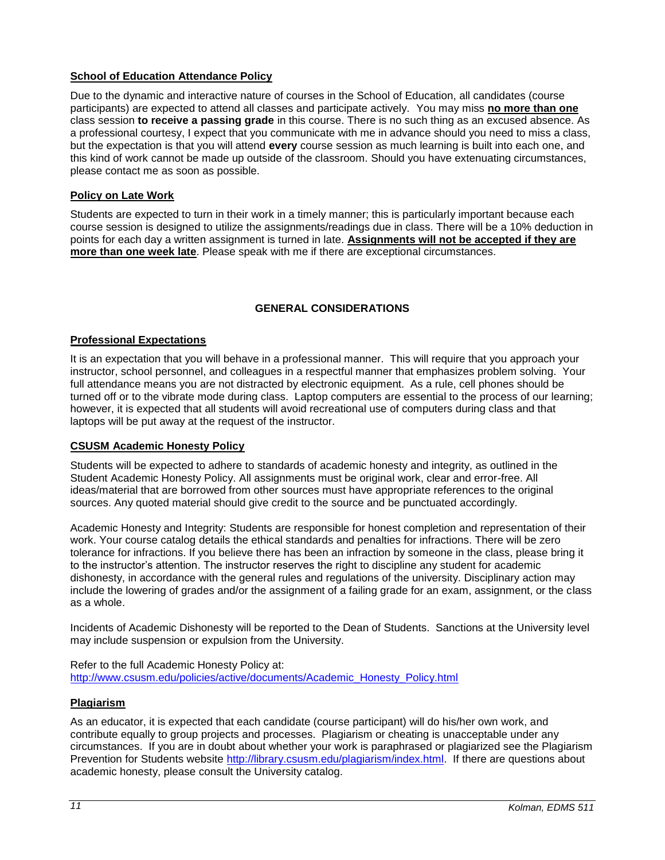# <span id="page-10-0"></span>**School of Education Attendance Policy**

Due to the dynamic and interactive nature of courses in the School of Education, all candidates (course participants) are expected to attend all classes and participate actively. You may miss **no more than one** class session **to receive a passing grade** in this course. There is no such thing as an excused absence. As a professional courtesy, I expect that you communicate with me in advance should you need to miss a class, but the expectation is that you will attend **every** course session as much learning is built into each one, and this kind of work cannot be made up outside of the classroom. Should you have extenuating circumstances, please contact me as soon as possible.

# <span id="page-10-1"></span>**Policy on Late Work**

Students are expected to turn in their work in a timely manner; this is particularly important because each course session is designed to utilize the assignments/readings due in class. There will be a 10% deduction in points for each day a written assignment is turned in late. **Assignments will not be accepted if they are more than one week late**. Please speak with me if there are exceptional circumstances.

# **GENERAL CONSIDERATIONS**

# <span id="page-10-3"></span><span id="page-10-2"></span>**Professional Expectations**

It is an expectation that you will behave in a professional manner. This will require that you approach your instructor, school personnel, and colleagues in a respectful manner that emphasizes problem solving. Your full attendance means you are not distracted by electronic equipment. As a rule, cell phones should be turned off or to the vibrate mode during class. Laptop computers are essential to the process of our learning; however, it is expected that all students will avoid recreational use of computers during class and that laptops will be put away at the request of the instructor.

# <span id="page-10-4"></span>**CSUSM Academic Honesty Policy**

Students will be expected to adhere to standards of academic honesty and integrity, as outlined in the Student Academic Honesty Policy. All assignments must be original work, clear and error-free. All ideas/material that are borrowed from other sources must have appropriate references to the original sources. Any quoted material should give credit to the source and be punctuated accordingly.

Academic Honesty and Integrity: Students are responsible for honest completion and representation of their work. Your course catalog details the ethical standards and penalties for infractions. There will be zero tolerance for infractions. If you believe there has been an infraction by someone in the class, please bring it to the instructor's attention. The instructor reserves the right to discipline any student for academic dishonesty, in accordance with the general rules and regulations of the university. Disciplinary action may include the lowering of grades and/or the assignment of a failing grade for an exam, assignment, or the class as a whole.

Incidents of Academic Dishonesty will be reported to the Dean of Students. Sanctions at the University level may include suspension or expulsion from the University.

Refer to the full Academic Honesty Policy at: [http://www.csusm.edu/policies/active/documents/Academic\\_Honesty\\_Policy.html](http://www.csusm.edu/policies/active/documents/Academic_Honesty_Policy.html)

# <span id="page-10-5"></span>**Plagiarism**

As an educator, it is expected that each candidate (course participant) will do his/her own work, and contribute equally to group projects and processes. Plagiarism or cheating is unacceptable under any circumstances. If you are in doubt about whether your work is paraphrased or plagiarized see the Plagiarism Prevention for Students website [http://library.csusm.edu/plagiarism/index.html.](http://library.csusm.edu/plagiarism/index.html) If there are questions about academic honesty, please consult the University catalog.